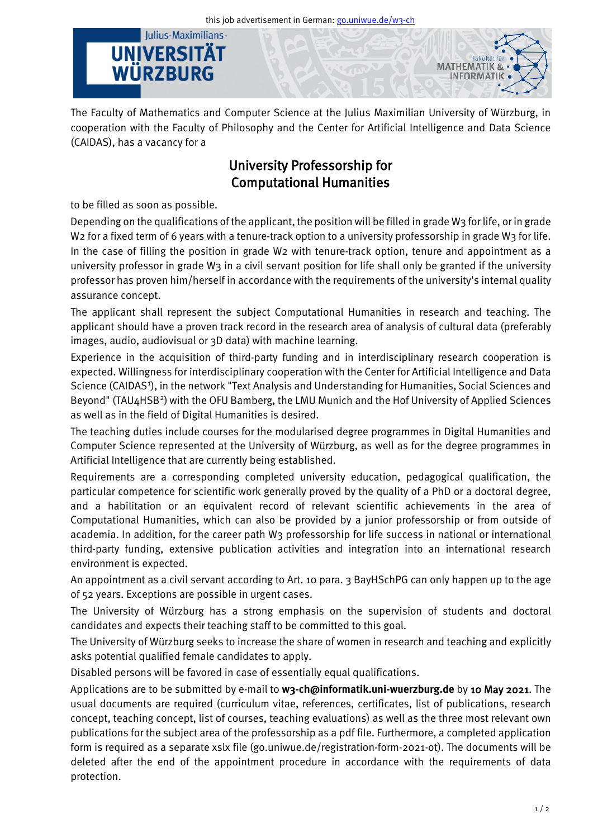this job advertisement in German[: go.uniwue.de/w3-ch](https://go.uniwue.de/w3-ch)

## Julius-Maximilians-**UNIVERSITÄT** WÜRZBURG



The Faculty of Mathematics and Computer Science at the Julius Maximilian University of Würzburg, in cooperation with the Faculty of Philosophy and the Center for Artificial Intelligence and Data Science (CAIDAS), has a vacancy for a

## University Professorship for Computational Humanities

to be filled as soon as possible.

Depending on the qualifications of the applicant, the position will be filled in grade W3 for life, or in grade W<sub>2</sub> for a fixed term of 6 years with a tenure-track option to a university professorship in grade W<sub>3</sub> for life. In the case of filling the position in grade W2 with tenure-track option, tenure and appointment as a university professor in grade W3 in a civil servant position for life shall only be granted if the university professor has proven him/herself in accordance with the requirements of the university's internal quality assurance concept.

The applicant shall represent the subject Computational Humanities in research and teaching. The applicant should have a proven track record in the research area of analysis of cultural data (preferably images, audio, audiovisual or 3D data) with machine learning.

Experience in the acquisition of third-party funding and in interdisciplinary research cooperation is expected. Willingness for interdisciplinary cooperation with the Center for Artificial Intelligence and Data Science (CAIDAS<sup>[1](#page-1-0)</sup>), in the network "Text Analysis and Understanding for Humanities, Social Sciences and Beyond" (TAU4HSB<sup>2</sup>) with the OFU Bamberg, the LMU Munich and the Hof University of Applied Sciences as well as in the field of Digital Humanities is desired.

The teaching duties include courses for the modularised degree programmes in Digital Humanities and Computer Science represented at the University of Würzburg, as well as for the degree programmes in Artificial Intelligence that are currently being established.

Requirements are a corresponding completed university education, pedagogical qualification, the particular competence for scientific work generally proved by the quality of a PhD or a doctoral degree, and a habilitation or an equivalent record of relevant scientific achievements in the area of Computational Humanities, which can also be provided by a junior professorship or from outside of academia. In addition, for the career path W3 professorship for life success in national or international third-party funding, extensive publication activities and integration into an international research environment is expected.

An appointment as a civil servant according to Art. 10 para. 3 BayHSchPG can only happen up to the age of 52 years. Exceptions are possible in urgent cases.

The University of Würzburg has a strong emphasis on the supervision of students and doctoral candidates and expects their teaching staff to be committed to this goal.

The University of Würzburg seeks to increase the share of women in research and teaching and explicitly asks potential qualified female candidates to apply.

Disabled persons will be favored in case of essentially equal qualifications.

Applications are to be submitted by e-mail to **w3-ch@informatik.uni-wuerzburg.de** by 10 May 2021. The usual documents are required (curriculum vitae, references, certificates, list of publications, research concept, teaching concept, list of courses, teaching evaluations) as well as the three most relevant own publications for the subject area of the professorship as a pdf file. Furthermore, a completed application form is required as a separate xslx file [\(go.uniwue.de/registration-form-2021-ot\)](https://go.uniwue.de/registration-form-2021-ot). The documents will be deleted after the end of the appointment procedure in accordance with the requirements of data protection.